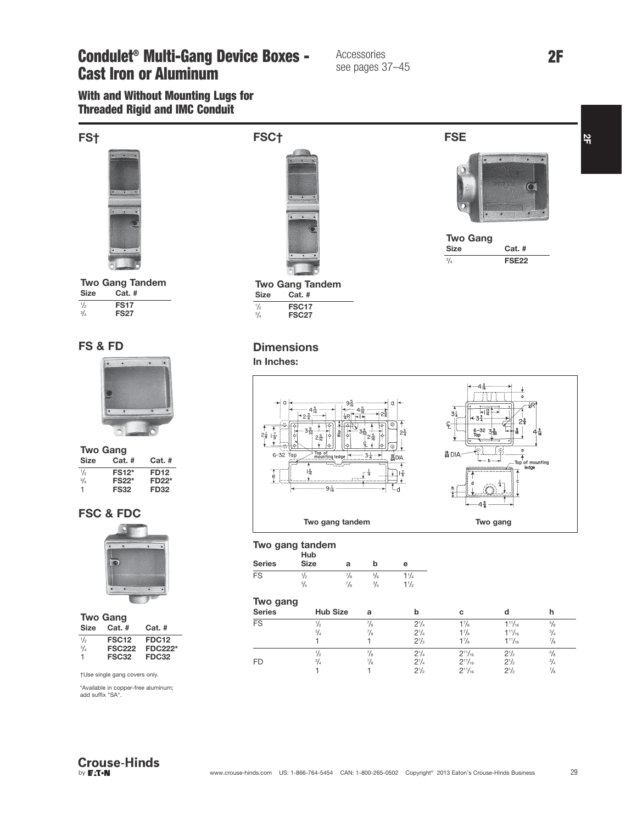Condulet<sup>®</sup> Multi-Gang Device Boxes - Accessories 2F Cast Iron or Aluminum

## see pages 3 see pages 37–45

With and Without Mounting Lugs for Threaded Rigid and IMC Conduit